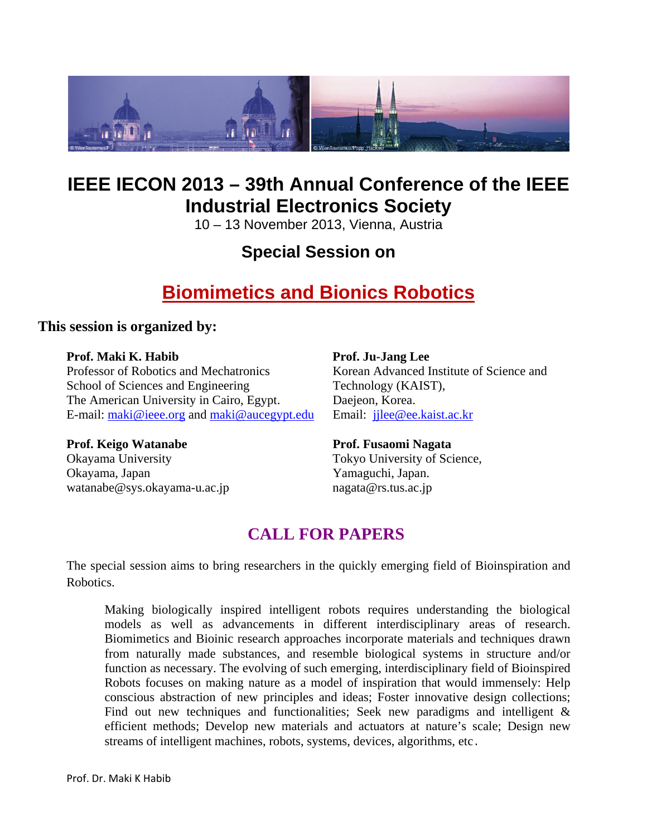

# **IEEE IECON 2013 – 39th Annual Conference of the IEEE Industrial Electronics Society**

10 – 13 November 2013, Vienna, Austria

# **Special Session on**

# **Biomimetics and Bionics Robotics**

### **This session is organized by:**

### Prof. Maki K. Habib **Prof. Ju-Jang Lee**

Professor of Robotics and Mechatronics Korean Advanced Institute of Science and School of Sciences and Engineering Technology (KAIST), The American University in Cairo, Egypt. Daejeon, Korea. E-mail: maki@ieee.org and maki@aucegypt.edu Email: jjlee@ee.kaist.ac.kr

### **Prof. Keigo Watanabe Prof. Fusaomi Nagata**

Okayama University Tokyo University of Science, Okayama, Japan Yamaguchi, Japan. watanabe@sys.okayama-u.ac.jp nagata@rs.tus.ac.jp

# **CALL FOR PAPERS**

The special session aims to bring researchers in the quickly emerging field of Bioinspiration and Robotics.

Making biologically inspired intelligent robots requires understanding the biological models as well as advancements in different interdisciplinary areas of research. Biomimetics and Bioinic research approaches incorporate materials and techniques drawn from naturally made substances, and resemble biological systems in structure and/or function as necessary. The evolving of such emerging, interdisciplinary field of Bioinspired Robots focuses on making nature as a model of inspiration that would immensely: Help conscious abstraction of new principles and ideas; Foster innovative design collections; Find out new techniques and functionalities; Seek new paradigms and intelligent & efficient methods; Develop new materials and actuators at nature's scale; Design new streams of intelligent machines, robots, systems, devices, algorithms, etc.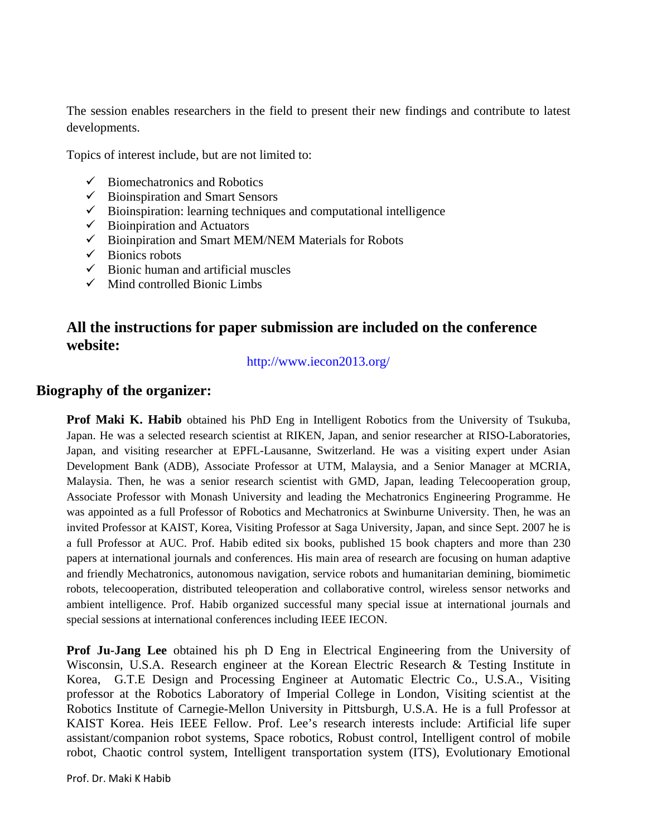The session enables researchers in the field to present their new findings and contribute to latest developments.

Topics of interest include, but are not limited to:

- $\checkmark$  Biomechatronics and Robotics
- $\checkmark$  Bioinspiration and Smart Sensors
- $\checkmark$  Bioinspiration: learning techniques and computational intelligence
- $\checkmark$  Bioinpiration and Actuators
- $\checkmark$  Bioinpiration and Smart MEM/NEM Materials for Robots
- $\checkmark$  Bionics robots
- $\checkmark$  Bionic human and artificial muscles
- $\checkmark$  Mind controlled Bionic Limbs

### **All the instructions for paper submission are included on the conference website:**

http://www.iecon2013.org/

### **Biography of the organizer:**

**Prof Maki K. Habib** obtained his PhD Eng in Intelligent Robotics from the University of Tsukuba, Japan. He was a selected research scientist at RIKEN, Japan, and senior researcher at RISO-Laboratories, Japan, and visiting researcher at EPFL-Lausanne, Switzerland. He was a visiting expert under Asian Development Bank (ADB), Associate Professor at UTM, Malaysia, and a Senior Manager at MCRIA, Malaysia. Then, he was a senior research scientist with GMD, Japan, leading Telecooperation group, Associate Professor with Monash University and leading the Mechatronics Engineering Programme. He was appointed as a full Professor of Robotics and Mechatronics at Swinburne University. Then, he was an invited Professor at KAIST, Korea, Visiting Professor at Saga University, Japan, and since Sept. 2007 he is a full Professor at AUC. Prof. Habib edited six books, published 15 book chapters and more than 230 papers at international journals and conferences. His main area of research are focusing on human adaptive and friendly Mechatronics, autonomous navigation, service robots and humanitarian demining, biomimetic robots, telecooperation, distributed teleoperation and collaborative control, wireless sensor networks and ambient intelligence. Prof. Habib organized successful many special issue at international journals and special sessions at international conferences including IEEE IECON.

**Prof Ju-Jang Lee** obtained his ph D Eng in Electrical Engineering from the University of Wisconsin, U.S.A. Research engineer at the Korean Electric Research & Testing Institute in Korea, G.T.E Design and Processing Engineer at Automatic Electric Co., U.S.A., Visiting professor at the Robotics Laboratory of Imperial College in London, Visiting scientist at the Robotics Institute of Carnegie-Mellon University in Pittsburgh, U.S.A. He is a full Professor at KAIST Korea. Heis IEEE Fellow. Prof. Lee's research interests include: Artificial life super assistant/companion robot systems, Space robotics, Robust control, Intelligent control of mobile robot, Chaotic control system, Intelligent transportation system (ITS), Evolutionary Emotional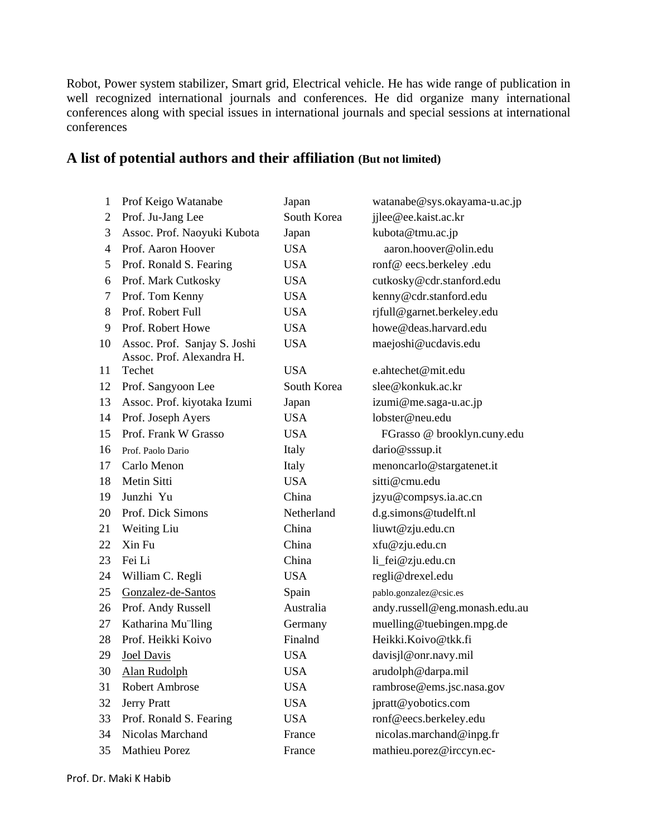Robot, Power system stabilizer, Smart grid, Electrical vehicle. He has wide range of publication in well recognized international journals and conferences. He did organize many international conferences along with special issues in international journals and special sessions at international conferences

| $\mathbf{1}$ | Prof Keigo Watanabe                                       | Japan       | watanabe@sys.okayama-u.ac.jp   |
|--------------|-----------------------------------------------------------|-------------|--------------------------------|
| 2            | Prof. Ju-Jang Lee                                         | South Korea | jjlee@ee.kaist.ac.kr           |
| 3            | Assoc. Prof. Naoyuki Kubota                               | Japan       | kubota@tmu.ac.jp               |
| 4            | Prof. Aaron Hoover                                        | <b>USA</b>  | aaron.hoover@olin.edu          |
| 5            | Prof. Ronald S. Fearing                                   | <b>USA</b>  | ronf@eecs.berkeley.edu         |
| 6            | Prof. Mark Cutkosky                                       | <b>USA</b>  | cutkosky@cdr.stanford.edu      |
| 7            | Prof. Tom Kenny                                           | <b>USA</b>  | kenny@cdr.stanford.edu         |
| 8            | Prof. Robert Full                                         | <b>USA</b>  | rjfull@garnet.berkeley.edu     |
| 9            | Prof. Robert Howe                                         | <b>USA</b>  | howe@deas.harvard.edu          |
| 10           | Assoc. Prof. Sanjay S. Joshi<br>Assoc. Prof. Alexandra H. | <b>USA</b>  | maejoshi@ucdavis.edu           |
| 11           | Techet                                                    | <b>USA</b>  | e.ahtechet@mit.edu             |
| 12           | Prof. Sangyoon Lee                                        | South Korea | slee@konkuk.ac.kr              |
| 13           | Assoc. Prof. kiyotaka Izumi                               | Japan       | izumi@me.saga-u.ac.jp          |
| 14           | Prof. Joseph Ayers                                        | <b>USA</b>  | lobster@neu.edu                |
| 15           | Prof. Frank W Grasso                                      | <b>USA</b>  | FGrasso @ brooklyn.cuny.edu    |
| 16           | Prof. Paolo Dario                                         | Italy       | dario@sssup.it                 |
| 17           | Carlo Menon                                               | Italy       | menoncarlo@stargatenet.it      |
| 18           | Metin Sitti                                               | <b>USA</b>  | sitti@cmu.edu                  |
| 19           | Junzhi Yu                                                 | China       | jzyu@compsys.ia.ac.cn          |
| 20           | Prof. Dick Simons                                         | Netherland  | d.g.simons@tudelft.nl          |
| 21           | Weiting Liu                                               | China       | liuwt@zju.edu.cn               |
| 22           | Xin Fu                                                    | China       | xfu@zju.edu.cn                 |
| 23           | Fei Li                                                    | China       | li_fei@zju.edu.cn              |
| 24           | William C. Regli                                          | <b>USA</b>  | regli@drexel.edu               |
| 25           | Gonzalez-de-Santos                                        | Spain       | pablo.gonzalez@csic.es         |
| 26           | Prof. Andy Russell                                        | Australia   | andy.russell@eng.monash.edu.au |
| 27           | Katharina Mu'lling                                        | Germany     | muelling@tuebingen.mpg.de      |
| 28           | Prof. Heikki Koivo                                        | Finalnd     | Heikki.Koivo@tkk.fi            |
| 29           | <b>Joel Davis</b>                                         | <b>USA</b>  | davisjl@onr.navy.mil           |
| 30           | Alan Rudolph                                              | USA         | arudolph@darpa.mil             |
| 31           | Robert Ambrose                                            | <b>USA</b>  | rambrose@ems.jsc.nasa.gov      |
| 32           | <b>Jerry Pratt</b>                                        | <b>USA</b>  | jpratt@yobotics.com            |
| 33           | Prof. Ronald S. Fearing                                   | <b>USA</b>  | ronf@eecs.berkeley.edu         |
| 34           | Nicolas Marchand                                          | France      | nicolas.marchand@inpg.fr       |
| 35           | Mathieu Porez                                             | France      | mathieu.porez@irccyn.ec-       |

### **A list of potential authors and their affiliation (But not limited)**